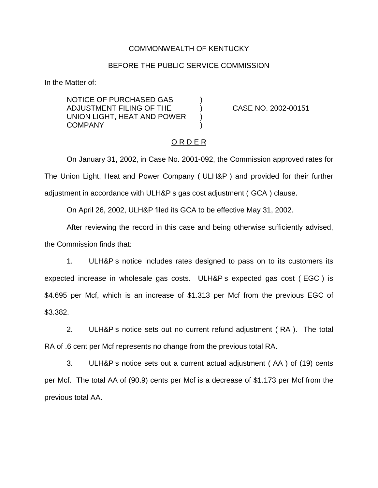## COMMONWEALTH OF KENTUCKY

#### BEFORE THE PUBLIC SERVICE COMMISSION

In the Matter of:

NOTICE OF PURCHASED GAS ) ADJUSTMENT FILING OF THE ) CASE NO. 2002-00151 UNION LIGHT, HEAT AND POWER ) **COMPANY** 

## O R D E R

On January 31, 2002, in Case No. 2001-092, the Commission approved rates for The Union Light, Heat and Power Company ( ULH&P ) and provided for their further adjustment in accordance with ULH&P s gas cost adjustment ( GCA ) clause.

On April 26, 2002, ULH&P filed its GCA to be effective May 31, 2002.

After reviewing the record in this case and being otherwise sufficiently advised, the Commission finds that:

1. ULH&P s notice includes rates designed to pass on to its customers its expected increase in wholesale gas costs. ULH&P s expected gas cost ( EGC ) is \$4.695 per Mcf, which is an increase of \$1.313 per Mcf from the previous EGC of \$3.382.

2. ULH&P s notice sets out no current refund adjustment ( RA ). The total RA of .6 cent per Mcf represents no change from the previous total RA.

3. ULH&P s notice sets out a current actual adjustment ( AA ) of (19) cents per Mcf. The total AA of (90.9) cents per Mcf is a decrease of \$1.173 per Mcf from the previous total AA.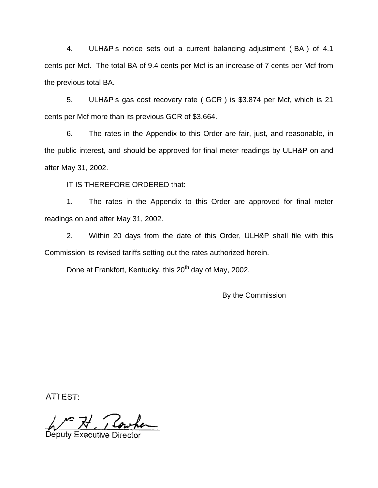4. ULH&P s notice sets out a current balancing adjustment ( BA ) of 4.1 cents per Mcf. The total BA of 9.4 cents per Mcf is an increase of 7 cents per Mcf from the previous total BA.

5. ULH&P s gas cost recovery rate ( GCR ) is \$3.874 per Mcf, which is 21 cents per Mcf more than its previous GCR of \$3.664.

6. The rates in the Appendix to this Order are fair, just, and reasonable, in the public interest, and should be approved for final meter readings by ULH&P on and after May 31, 2002.

IT IS THEREFORE ORDERED that:

1. The rates in the Appendix to this Order are approved for final meter readings on and after May 31, 2002.

2. Within 20 days from the date of this Order, ULH&P shall file with this Commission its revised tariffs setting out the rates authorized herein.

Done at Frankfort, Kentucky, this 20<sup>th</sup> day of May, 2002.

By the Commission

ATTEST:

1. Rowhen

Deputy Executive Di